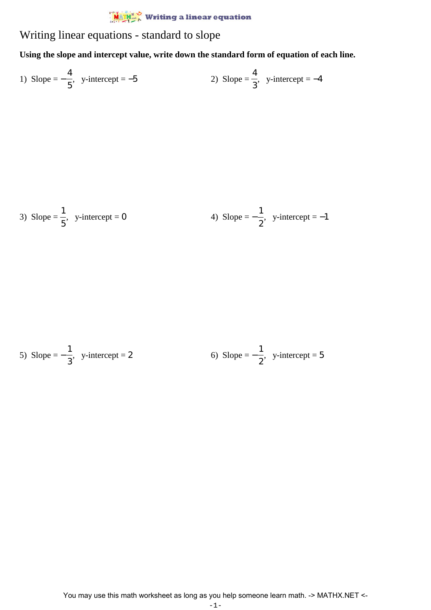## $\frac{\mathsf{M}}{\mathsf{M}}$  Writing a linear equation

## Writing linear equations - standard to slope

**Using the slope and intercept value, write down the standard form of equation of each line.**

1) Slope = 
$$
-\frac{4}{5}
$$
, y-intercept = -5  
2) Slope =  $\frac{4}{3}$ , y-intercept = -4

3) Slope = 
$$
\frac{1}{5}
$$
, y-intercept = 0  
4) Slope =  $-\frac{1}{2}$ , y-intercept = -1

5) Slope = 
$$
-\frac{1}{3}
$$
, y-intercept = 2  
6) Slope =  $-\frac{1}{2}$ , y-intercept = 5

You may use this math worksheet as long as you help someone learn math. -> MATHX.NET <-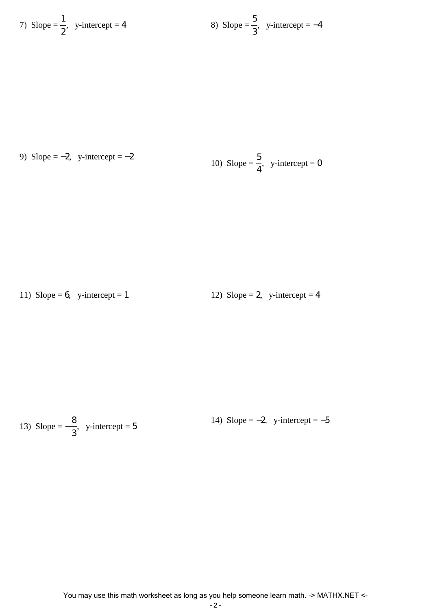7) Slope = 
$$
\frac{1}{2}
$$
, y-intercept = 4  
8) Slope =  $\frac{5}{3}$ , y-intercept = -4

9) Slope = -2, y-intercept = -2  
10) Slope = 
$$
\frac{5}{4}
$$
, y-intercept = 0

11) Slope = 6, y-intercept = 
$$
1
$$

12) Slope = 2, y-intercept = 4

13) Slope = 
$$
-\frac{8}{3}
$$
, y-intercept = 5  
14) Slope = -2, y-intercept = -5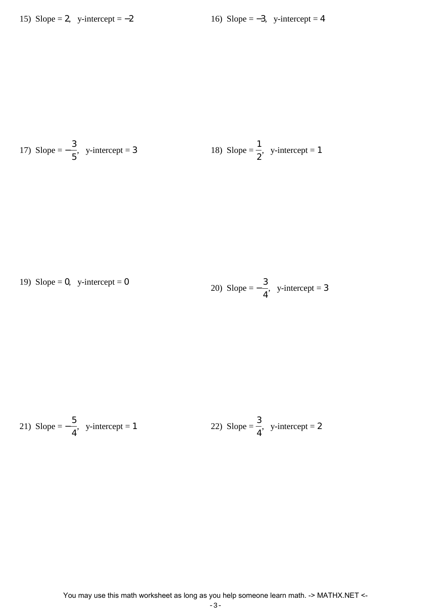17) Slope = 
$$
-\frac{3}{5}
$$
, y-intercept = 3  
18) Slope =  $\frac{1}{2}$ , y-intercept = 1

19) Slope = 0, y-intercept = 0  
20) Slope = 
$$
-\frac{3}{4}
$$
, y-intercept = 3

21) Slope = 
$$
-\frac{5}{4}
$$
, y-intercept = 1  
22) Slope =  $\frac{3}{4}$ , y-intercept = 2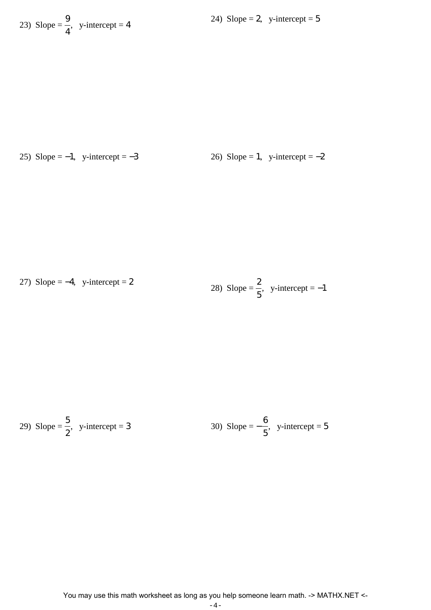23) Slope  $=$ 9 4  $,$  y-intercept = 4

25) Slope =  $-1$ , y-intercept =  $-3$  26) Slope = 1, y-intercept =  $-2$ 

27) Slope = -4, y-intercept = 2  
28) Slope = 
$$
\frac{2}{5}
$$
, y-intercept = -1

29) Slope = 
$$
\frac{5}{2}
$$
, y-intercept = 3  
30) Slope =  $-\frac{6}{5}$ , y-intercept = 5